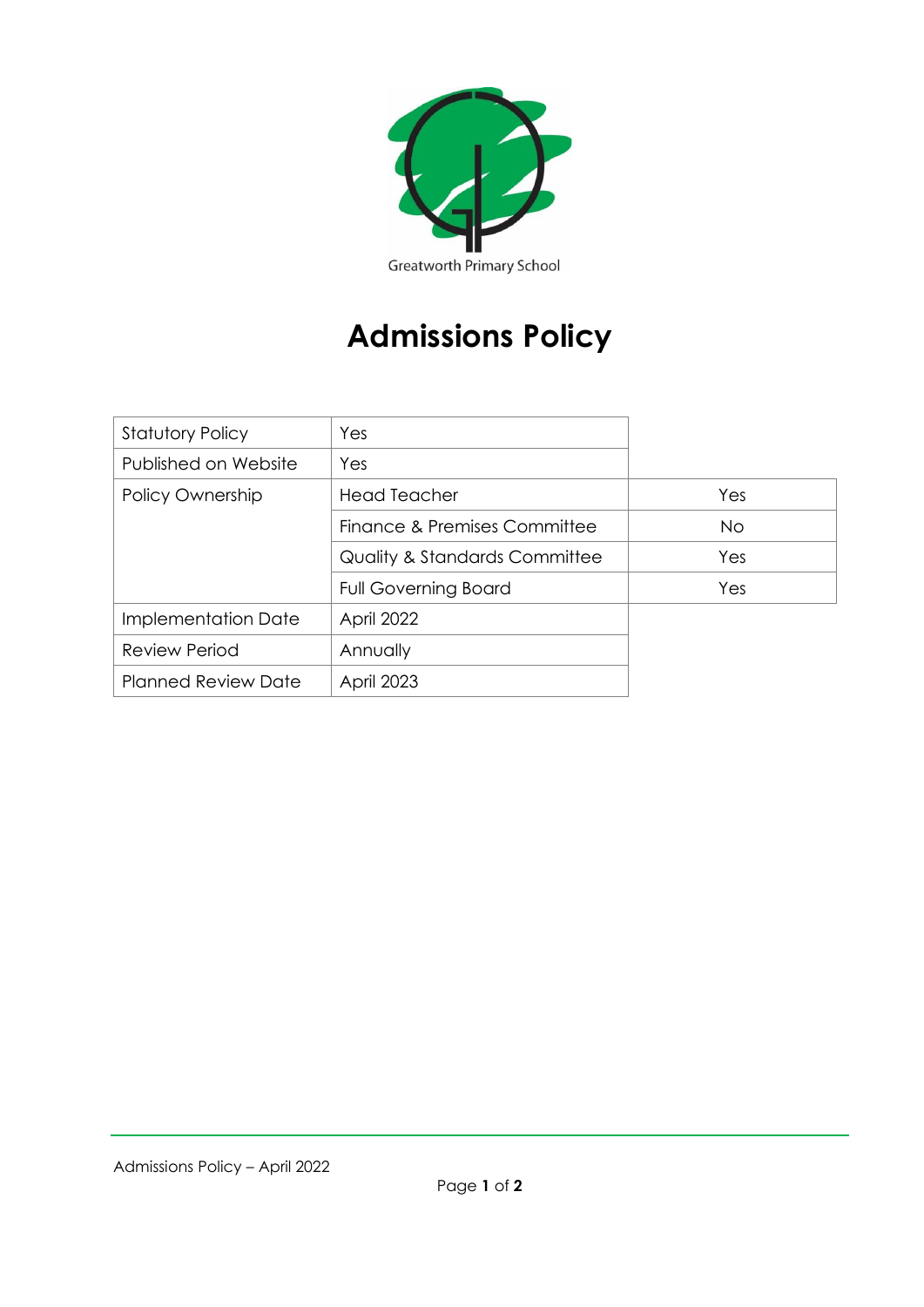

## **Admissions Policy**

| <b>Statutory Policy</b>    | Yes                                      |           |
|----------------------------|------------------------------------------|-----------|
| Published on Website       | Yes                                      |           |
| Policy Ownership           | <b>Head Teacher</b>                      | Yes       |
|                            | Finance & Premises Committee             | <b>No</b> |
|                            | <b>Quality &amp; Standards Committee</b> | Yes       |
|                            | <b>Full Governing Board</b>              | Yes       |
| Implementation Date        | April 2022                               |           |
| <b>Review Period</b>       | Annually                                 |           |
| <b>Planned Review Date</b> | <b>April 2023</b>                        |           |